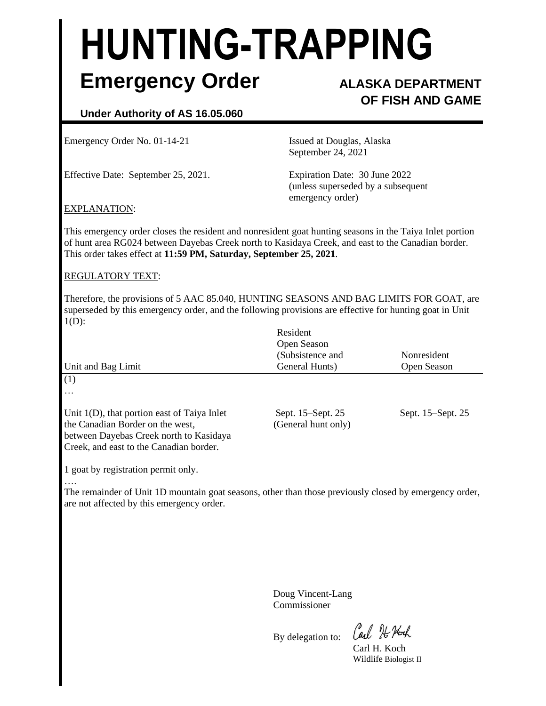# **HUNTING-TRAPPING Emergency Order ALASKA DEPARTMENT**

# **OF FISH AND GAME**

## **Under Authority of AS 16.05.060**

Emergency Order No. 01-14-21 Issued at Douglas, Alaska

Effective Date: September 25, 2021. Expiration Date: 30 June 2022

September 24, 2021

(unless superseded by a subsequent emergency order)

### EXPLANATION:

This emergency order closes the resident and nonresident goat hunting seasons in the Taiya Inlet portion of hunt area RG024 between Dayebas Creek north to Kasidaya Creek, and east to the Canadian border. This order takes effect at **11:59 PM, Saturday, September 25, 2021**.

### REGULATORY TEXT:

Therefore, the provisions of 5 AAC 85.040, HUNTING SEASONS AND BAG LIMITS FOR GOAT, are superseded by this emergency order, and the following provisions are effective for hunting goat in Unit  $1(D)$ :

| Unit and Bag Limit                                                                                                                                                       | Resident<br>Open Season<br>(Subsistence and<br>General Hunts) | <b>Nonresident</b><br>Open Season |
|--------------------------------------------------------------------------------------------------------------------------------------------------------------------------|---------------------------------------------------------------|-----------------------------------|
| (1)<br>$\cdots$                                                                                                                                                          |                                                               |                                   |
| Unit $1(D)$ , that portion east of Taiya Inlet<br>the Canadian Border on the west,<br>between Dayebas Creek north to Kasidaya<br>Creek, and east to the Canadian border. | Sept. 15–Sept. 25<br>(General hunt only)                      | Sept. 15–Sept. 25                 |

1 goat by registration permit only. ….

The remainder of Unit 1D mountain goat seasons, other than those previously closed by emergency order, are not affected by this emergency order.

> Doug Vincent-Lang Commissioner

By delegation to:

Carl 76 Noch

Carl H. Koch Wildlife Biologist II